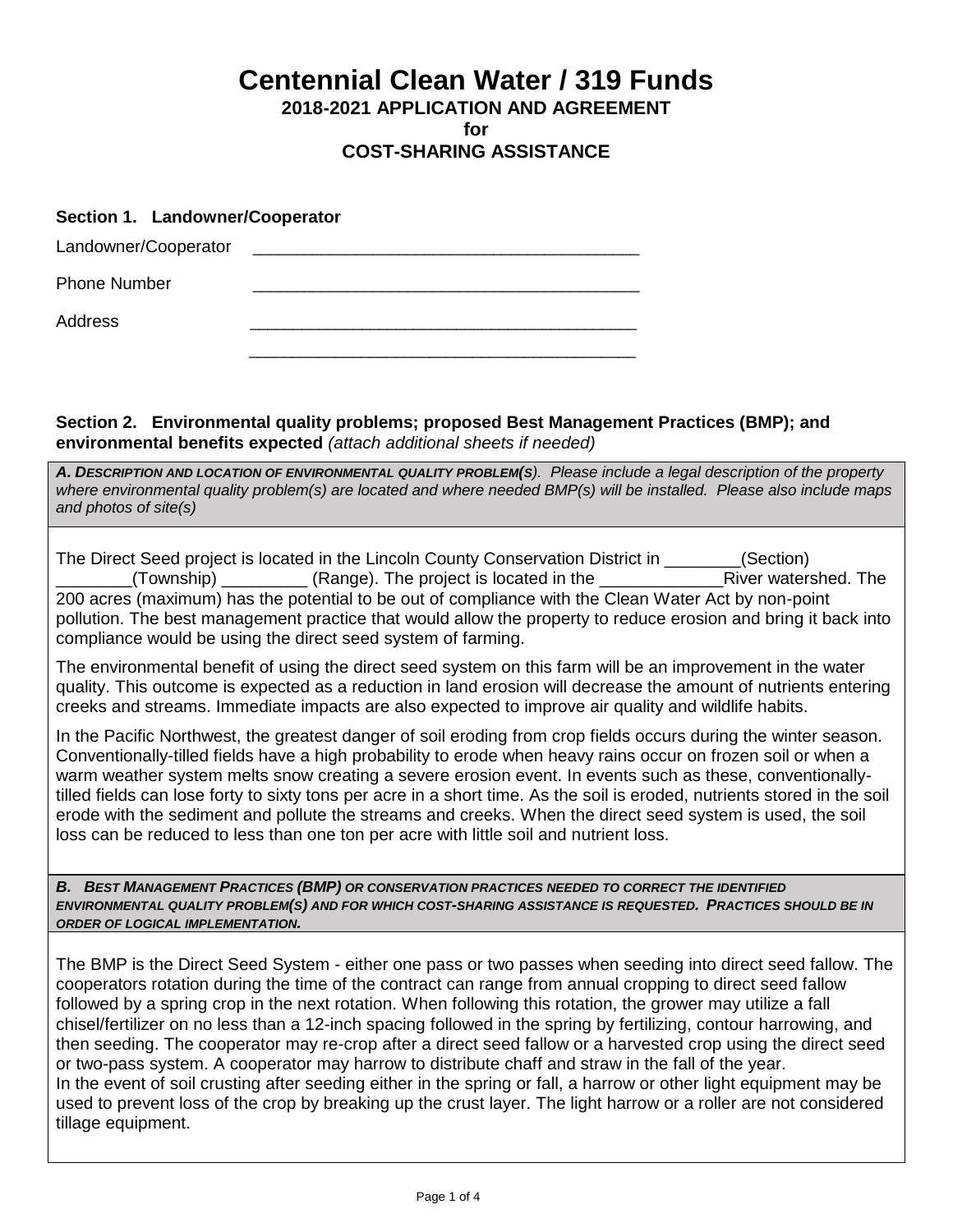**Centennial Clean Water / 319 Funds**

**2018-2021 APPLICATION AND AGREEMENT** 

**for**

# **COST-SHARING ASSISTANCE**

#### **Section 1. Landowner/Cooperator**

| Landowner/Cooperator |  |
|----------------------|--|
| <b>Phone Number</b>  |  |
| <b>Address</b>       |  |
|                      |  |
|                      |  |

## **Section 2. Environmental quality problems; proposed Best Management Practices (BMP); and environmental benefits expected** *(attach additional sheets if needed)*

*A. DESCRIPTION AND LOCATION OF ENVIRONMENTAL QUALITY PROBLEM(S). Please include a legal description of the property where environmental quality problem(s) are located and where needed BMP(s) will be installed. Please also include maps and photos of site(s)*

| The Direct Seed project is located in the Lincoln County Conservation District in                                                       | (Section)            |  |  |  |  |
|-----------------------------------------------------------------------------------------------------------------------------------------|----------------------|--|--|--|--|
| $($ Township $)$ $\qquad$ $\qquad$ $\qquad$ $\qquad$ $($ Range $)$ . The project is located in the<br><b>Contract Contract Contract</b> | River watershed. The |  |  |  |  |
| 200 acres (maximum) has the potential to be out of compliance with the Clean Water Act by non-point                                     |                      |  |  |  |  |
| pollution. The best management practice that would allow the property to reduce erosion and bring it back into                          |                      |  |  |  |  |
| compliance would be using the direct seed system of farming.                                                                            |                      |  |  |  |  |

The environmental benefit of using the direct seed system on this farm will be an improvement in the water quality. This outcome is expected as a reduction in land erosion will decrease the amount of nutrients entering creeks and streams. Immediate impacts are also expected to improve air quality and wildlife habits.

In the Pacific Northwest, the greatest danger of soil eroding from crop fields occurs during the winter season. Conventionally-tilled fields have a high probability to erode when heavy rains occur on frozen soil or when a warm weather system melts snow creating a severe erosion event. In events such as these, conventionallytilled fields can lose forty to sixty tons per acre in a short time. As the soil is eroded, nutrients stored in the soil erode with the sediment and pollute the streams and creeks. When the direct seed system is used, the soil loss can be reduced to less than one ton per acre with little soil and nutrient loss.

*B. BEST MANAGEMENT PRACTICES (BMP) OR CONSERVATION PRACTICES NEEDED TO CORRECT THE IDENTIFIED ENVIRONMENTAL QUALITY PROBLEM(S) AND FOR WHICH COST-SHARING ASSISTANCE IS REQUESTED. PRACTICES SHOULD BE IN ORDER OF LOGICAL IMPLEMENTATION.*

The BMP is the Direct Seed System - either one pass or two passes when seeding into direct seed fallow. The cooperators rotation during the time of the contract can range from annual cropping to direct seed fallow followed by a spring crop in the next rotation. When following this rotation, the grower may utilize a fall chisel/fertilizer on no less than a 12-inch spacing followed in the spring by fertilizing, contour harrowing, and then seeding. The cooperator may re-crop after a direct seed fallow or a harvested crop using the direct seed or two-pass system. A cooperator may harrow to distribute chaff and straw in the fall of the year. In the event of soil crusting after seeding either in the spring or fall, a harrow or other light equipment may be used to prevent loss of the crop by breaking up the crust layer. The light harrow or a roller are not considered tillage equipment.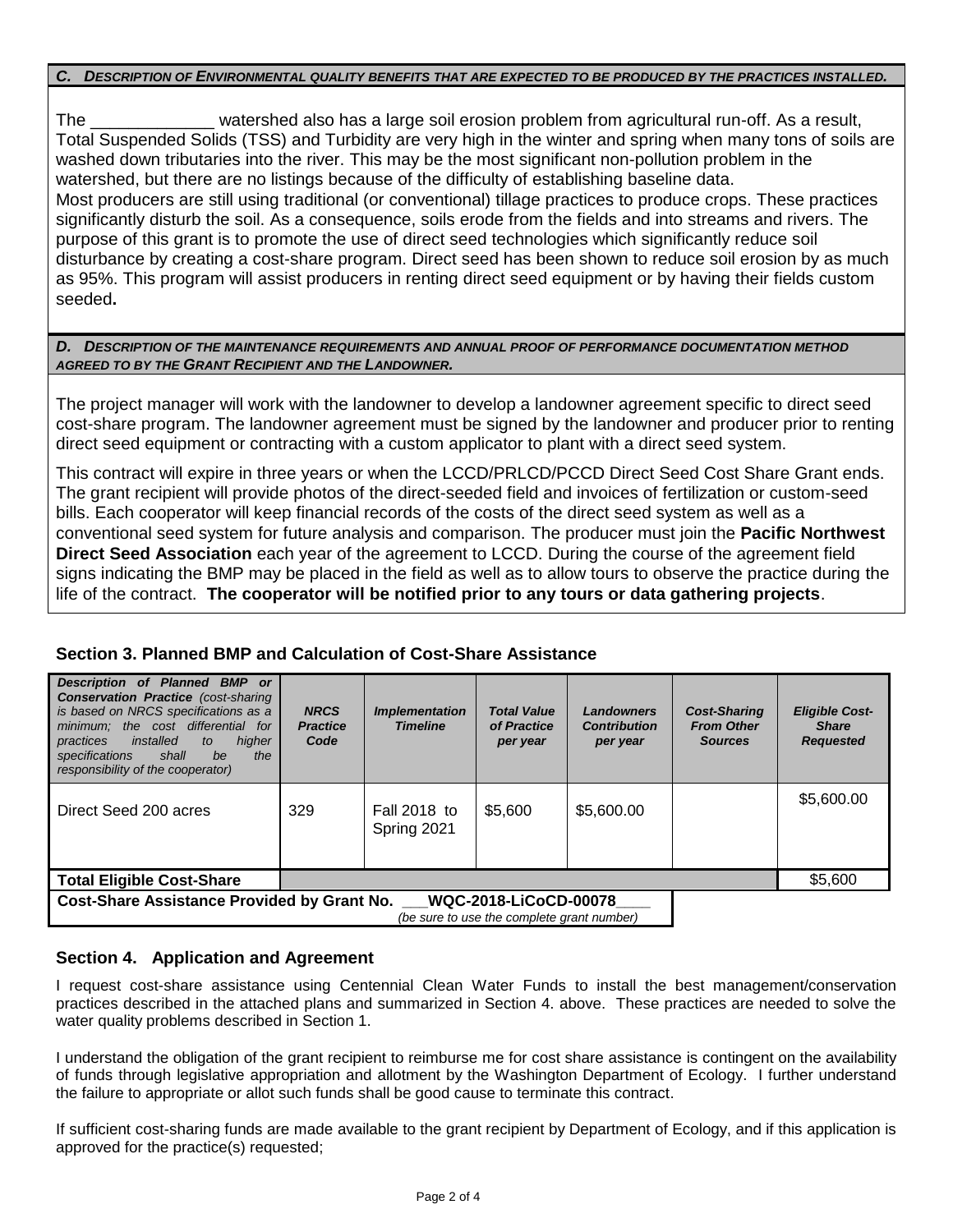#### *C. DESCRIPTION OF ENVIRONMENTAL QUALITY BENEFITS THAT ARE EXPECTED TO BE PRODUCED BY THE PRACTICES INSTALLED.*

The \_\_\_\_\_\_\_\_\_\_\_\_\_ watershed also has a large soil erosion problem from agricultural run-off. As a result, Total Suspended Solids (TSS) and Turbidity are very high in the winter and spring when many tons of soils are washed down tributaries into the river. This may be the most significant non-pollution problem in the watershed, but there are no listings because of the difficulty of establishing baseline data. Most producers are still using traditional (or conventional) tillage practices to produce crops. These practices significantly disturb the soil. As a consequence, soils erode from the fields and into streams and rivers. The purpose of this grant is to promote the use of direct seed technologies which significantly reduce soil disturbance by creating a cost-share program. Direct seed has been shown to reduce soil erosion by as much as 95%. This program will assist producers in renting direct seed equipment or by having their fields custom seeded**.** 

#### *D. DESCRIPTION OF THE MAINTENANCE REQUIREMENTS AND ANNUAL PROOF OF PERFORMANCE DOCUMENTATION METHOD AGREED TO BY THE GRANT RECIPIENT AND THE LANDOWNER.*

The project manager will work with the landowner to develop a landowner agreement specific to direct seed cost-share program. The landowner agreement must be signed by the landowner and producer prior to renting direct seed equipment or contracting with a custom applicator to plant with a direct seed system.

This contract will expire in three years or when the LCCD/PRLCD/PCCD Direct Seed Cost Share Grant ends. The grant recipient will provide photos of the direct-seeded field and invoices of fertilization or custom-seed bills. Each cooperator will keep financial records of the costs of the direct seed system as well as a conventional seed system for future analysis and comparison. The producer must join the **Pacific Northwest Direct Seed Association** each year of the agreement to LCCD. During the course of the agreement field signs indicating the BMP may be placed in the field as well as to allow tours to observe the practice during the life of the contract. **The cooperator will be notified prior to any tours or data gathering projects**.

### **Section 3. Planned BMP and Calculation of Cost-Share Assistance**

| Description of Planned BMP or<br><b>Conservation Practice</b> (cost-sharing<br>is based on NRCS specifications as a<br>minimum; the cost differential for<br>higher<br>installed<br>practices<br>to<br>specifications<br>the<br>shall<br>be<br>responsibility of the cooperator) | <b>NRCS</b><br><b>Practice</b><br>Code | <b>Implementation</b><br><b>Timeline</b> | <b>Total Value</b><br>of Practice<br>per year | <b>Landowners</b><br><b>Contribution</b><br>per year | <b>Cost-Sharing</b><br><b>From Other</b><br><b>Sources</b> | <b>Eligible Cost-</b><br><b>Share</b><br><b>Requested</b> |
|----------------------------------------------------------------------------------------------------------------------------------------------------------------------------------------------------------------------------------------------------------------------------------|----------------------------------------|------------------------------------------|-----------------------------------------------|------------------------------------------------------|------------------------------------------------------------|-----------------------------------------------------------|
| Direct Seed 200 acres                                                                                                                                                                                                                                                            | 329                                    | Fall 2018 to<br>Spring 2021              | \$5,600                                       | \$5,600.00                                           |                                                            | \$5,600.00                                                |
| <b>Total Eligible Cost-Share</b>                                                                                                                                                                                                                                                 |                                        |                                          |                                               |                                                      |                                                            | \$5,600                                                   |
| <b>Cost-Share Assistance Provided by Grant No.</b><br><b>WQC-2018-LiCoCD-00078</b><br>$(6.8.8)$ as $(6.8)$ $(10.8)$ the complete example $(8.8)$                                                                                                                                 |                                        |                                          |                                               |                                                      |                                                            |                                                           |

*(be sure to use the complete grant number)*

### **Section 4. Application and Agreement**

I request cost-share assistance using Centennial Clean Water Funds to install the best management/conservation practices described in the attached plans and summarized in Section 4. above. These practices are needed to solve the water quality problems described in Section 1.

I understand the obligation of the grant recipient to reimburse me for cost share assistance is contingent on the availability of funds through legislative appropriation and allotment by the Washington Department of Ecology. I further understand the failure to appropriate or allot such funds shall be good cause to terminate this contract.

If sufficient cost-sharing funds are made available to the grant recipient by Department of Ecology, and if this application is approved for the practice(s) requested;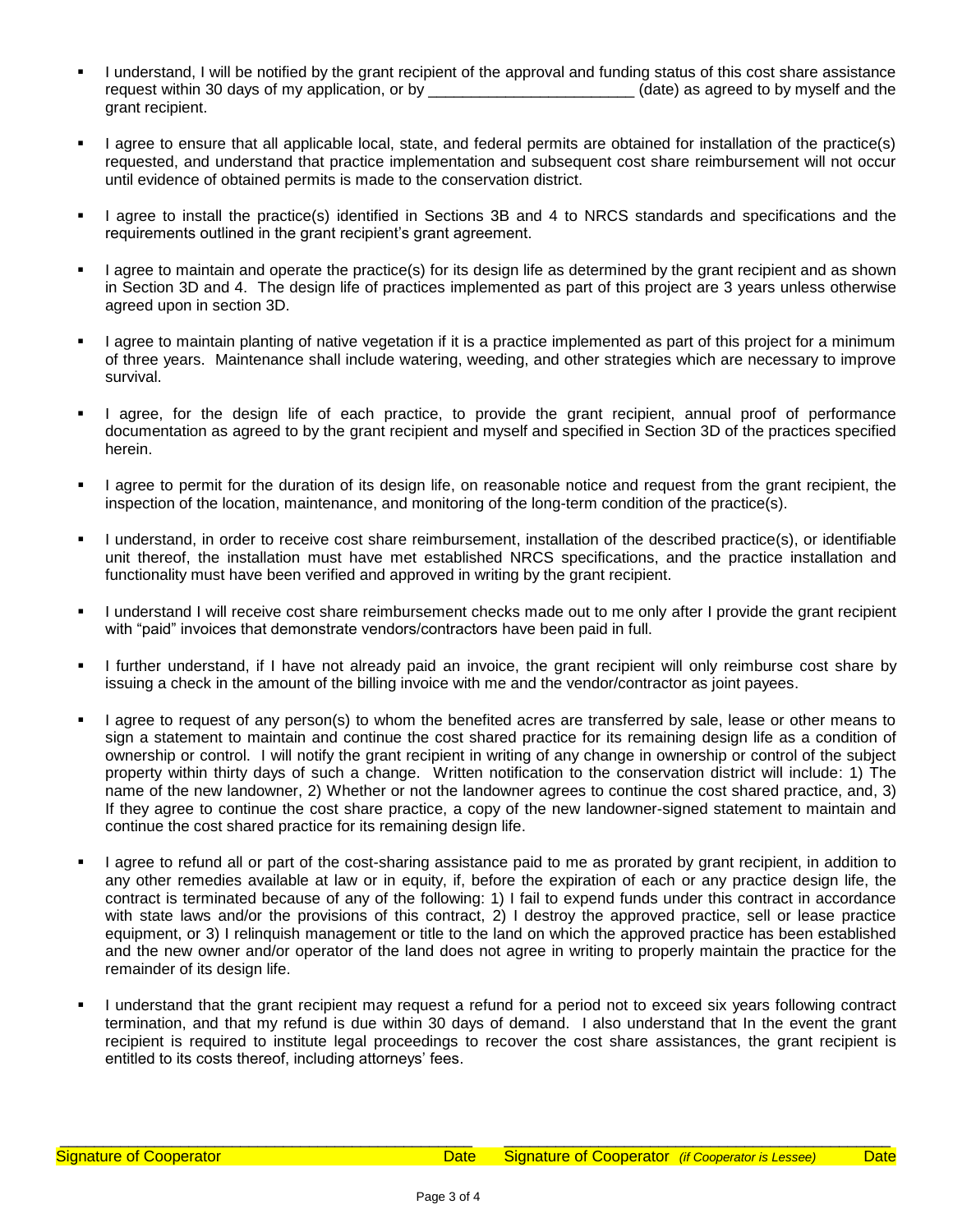- I understand, I will be notified by the grant recipient of the approval and funding status of this cost share assistance request within 30 days of my application, or by \_\_\_\_\_\_\_\_\_\_\_\_\_\_\_\_\_\_\_\_\_\_\_\_\_\_(date) as agreed to by myself and the grant recipient.
- I agree to ensure that all applicable local, state, and federal permits are obtained for installation of the practice(s) requested, and understand that practice implementation and subsequent cost share reimbursement will not occur until evidence of obtained permits is made to the conservation district.
- I agree to install the practice(s) identified in Sections 3B and 4 to NRCS standards and specifications and the requirements outlined in the grant recipient's grant agreement.
- I agree to maintain and operate the practice(s) for its design life as determined by the grant recipient and as shown in Section 3D and 4. The design life of practices implemented as part of this project are 3 years unless otherwise agreed upon in section 3D.
- I agree to maintain planting of native vegetation if it is a practice implemented as part of this project for a minimum of three years. Maintenance shall include watering, weeding, and other strategies which are necessary to improve survival.
- I agree, for the design life of each practice, to provide the grant recipient, annual proof of performance documentation as agreed to by the grant recipient and myself and specified in Section 3D of the practices specified herein.
- I agree to permit for the duration of its design life, on reasonable notice and request from the grant recipient, the inspection of the location, maintenance, and monitoring of the long-term condition of the practice(s).
- I understand, in order to receive cost share reimbursement, installation of the described practice(s), or identifiable unit thereof, the installation must have met established NRCS specifications, and the practice installation and functionality must have been verified and approved in writing by the grant recipient.
- I understand I will receive cost share reimbursement checks made out to me only after I provide the grant recipient with "paid" invoices that demonstrate vendors/contractors have been paid in full.
- I further understand, if I have not already paid an invoice, the grant recipient will only reimburse cost share by issuing a check in the amount of the billing invoice with me and the vendor/contractor as joint payees.
- I agree to request of any person(s) to whom the benefited acres are transferred by sale, lease or other means to sign a statement to maintain and continue the cost shared practice for its remaining design life as a condition of ownership or control. I will notify the grant recipient in writing of any change in ownership or control of the subject property within thirty days of such a change. Written notification to the conservation district will include: 1) The name of the new landowner, 2) Whether or not the landowner agrees to continue the cost shared practice, and, 3) If they agree to continue the cost share practice, a copy of the new landowner-signed statement to maintain and continue the cost shared practice for its remaining design life.
- I agree to refund all or part of the cost-sharing assistance paid to me as prorated by grant recipient, in addition to any other remedies available at law or in equity, if, before the expiration of each or any practice design life, the contract is terminated because of any of the following: 1) I fail to expend funds under this contract in accordance with state laws and/or the provisions of this contract, 2) I destroy the approved practice, sell or lease practice equipment, or 3) I relinquish management or title to the land on which the approved practice has been established and the new owner and/or operator of the land does not agree in writing to properly maintain the practice for the remainder of its design life.
- I understand that the grant recipient may request a refund for a period not to exceed six years following contract termination, and that my refund is due within 30 days of demand. I also understand that In the event the grant recipient is required to institute legal proceedings to recover the cost share assistances, the grant recipient is entitled to its costs thereof, including attorneys' fees.

\_\_\_\_\_\_\_\_\_\_\_\_\_\_\_\_\_\_\_\_\_\_\_\_\_\_\_\_\_\_\_\_\_\_\_\_\_\_\_\_\_\_\_\_\_\_\_\_ \_\_\_\_\_\_\_\_\_\_\_\_\_\_\_\_\_\_\_\_\_\_\_\_\_\_\_\_\_\_\_\_\_\_\_\_\_\_\_\_\_\_\_\_\_